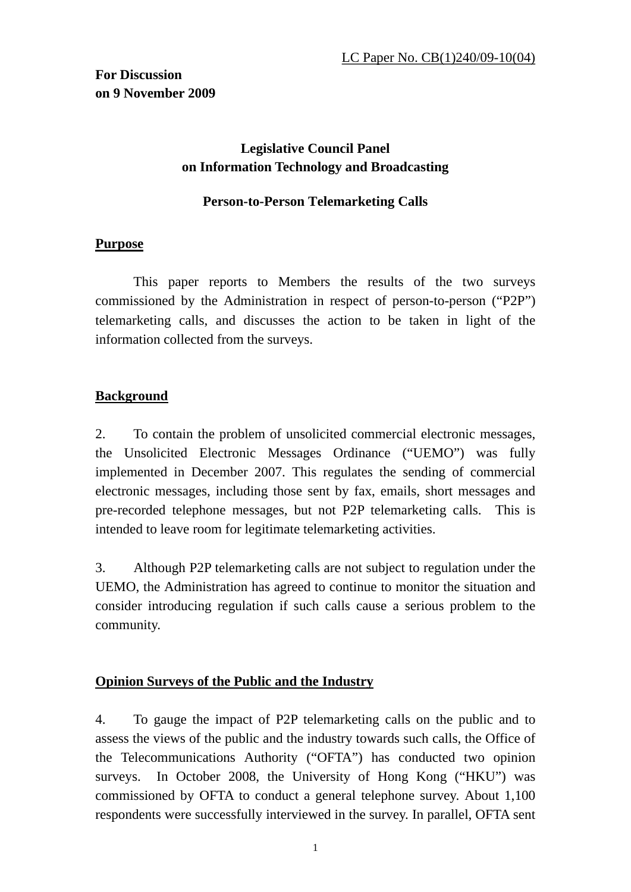# **Legislative Council Panel on Information Technology and Broadcasting**

#### **Person-to-Person Telemarketing Calls**

### **Purpose**

 This paper reports to Members the results of the two surveys commissioned by the Administration in respect of person-to-person ("P2P") telemarketing calls, and discusses the action to be taken in light of the information collected from the surveys.

### **Background**

2. To contain the problem of unsolicited commercial electronic messages, the Unsolicited Electronic Messages Ordinance ("UEMO") was fully implemented in December 2007. This regulates the sending of commercial electronic messages, including those sent by fax, emails, short messages and pre-recorded telephone messages, but not P2P telemarketing calls. This is intended to leave room for legitimate telemarketing activities.

3. Although P2P telemarketing calls are not subject to regulation under the UEMO, the Administration has agreed to continue to monitor the situation and consider introducing regulation if such calls cause a serious problem to the community.

## **Opinion Surveys of the Public and the Industry**

4. To gauge the impact of P2P telemarketing calls on the public and to assess the views of the public and the industry towards such calls, the Office of the Telecommunications Authority ("OFTA") has conducted two opinion surveys. In October 2008, the University of Hong Kong ("HKU") was commissioned by OFTA to conduct a general telephone survey. About 1,100 respondents were successfully interviewed in the survey. In parallel, OFTA sent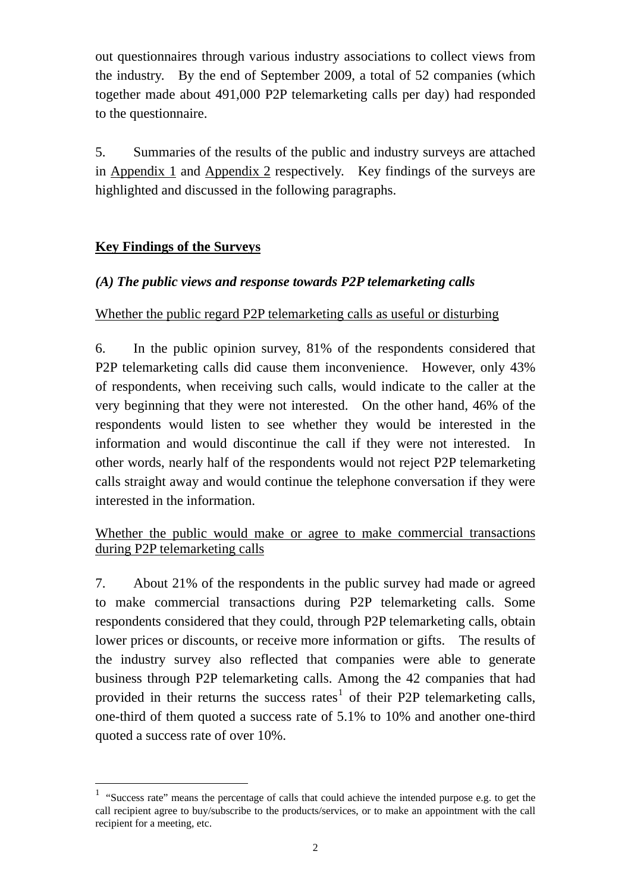out questionnaires through various industry associations to collect views from the industry. By the end of September 2009, a total of 52 companies (which together made about 491,000 P2P telemarketing calls per day) had responded to the questionnaire.

5. Summaries of the results of the public and industry surveys are attached in Appendix 1 and Appendix 2 respectively. Key findings of the surveys are highlighted and discussed in the following paragraphs.

### **Key Findings of the Surveys**

1

### *(A) The public views and response towards P2P telemarketing calls*

#### Whether the public regard P2P telemarketing calls as useful or disturbing

6. In the public opinion survey, 81% of the respondents considered that P2P telemarketing calls did cause them inconvenience. However, only 43% of respondents, when receiving such calls, would indicate to the caller at the very beginning that they were not interested. On the other hand, 46% of the respondents would listen to see whether they would be interested in the information and would discontinue the call if they were not interested. In other words, nearly half of the respondents would not reject P2P telemarketing calls straight away and would continue the telephone conversation if they were interested in the information.

### Whether the public would make or agree to make commercial transactions during P2P telemarketing calls

7. About 21% of the respondents in the public survey had made or agreed to make commercial transactions during P2P telemarketing calls. Some respondents considered that they could, through P2P telemarketing calls, obtain lower prices or discounts, or receive more information or gifts. The results of the industry survey also reflected that companies were able to generate business through P2P telemarketing calls. Among the 42 companies that had provided in their returns the success rates<sup>[1](#page-1-0)</sup> of their P2P telemarketing calls, one-third of them quoted a success rate of 5.1% to 10% and another one-third quoted a success rate of over 10%.

<span id="page-1-0"></span><sup>&</sup>lt;sup>1</sup> "Success rate" means the percentage of calls that could achieve the intended purpose e.g. to get the call recipient agree to buy/subscribe to the products/services, or to make an appointment with the call recipient for a meeting, etc.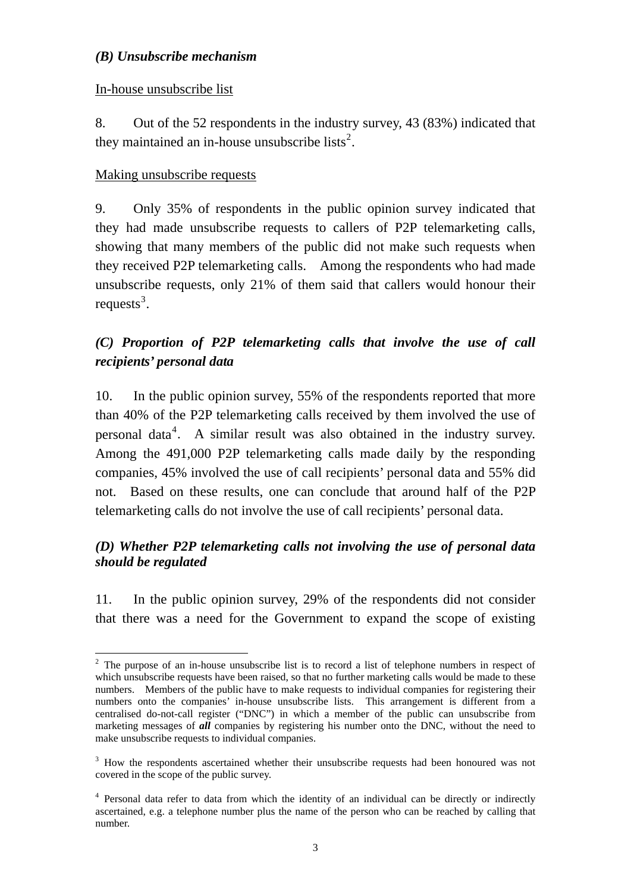#### *(B) Unsubscribe mechanism*

#### In-house unsubscribe list

8. Out of the 52 respondents in the industry survey, 43 (83%) indicated that they maintained an in-house unsubscribe lists<sup>[2](#page-2-0)</sup>.

#### Making unsubscribe requests

<u>.</u>

9. Only 35% of respondents in the public opinion survey indicated that they had made unsubscribe requests to callers of P2P telemarketing calls, showing that many members of the public did not make such requests when they received P2P telemarketing calls. Among the respondents who had made unsubscribe requests, only 21% of them said that callers would honour their requests<sup>[3](#page-2-1)</sup>.

# *(C) Proportion of P2P telemarketing calls that involve the use of call recipients' personal data*

10. In the public opinion survey, 55% of the respondents reported that more than 40% of the P2P telemarketing calls received by them involved the use of personal data<sup>[4](#page-2-2)</sup>. A similar result was also obtained in the industry survey. Among the 491,000 P2P telemarketing calls made daily by the responding companies, 45% involved the use of call recipients' personal data and 55% did not. Based on these results, one can conclude that around half of the P2P telemarketing calls do not involve the use of call recipients' personal data.

### *(D) Whether P2P telemarketing calls not involving the use of personal data should be regulated*

11. In the public opinion survey, 29% of the respondents did not consider that there was a need for the Government to expand the scope of existing

<span id="page-2-0"></span> $2$  The purpose of an in-house unsubscribe list is to record a list of telephone numbers in respect of which unsubscribe requests have been raised, so that no further marketing calls would be made to these numbers. Members of the public have to make requests to individual companies for registering their numbers onto the companies' in-house unsubscribe lists. This arrangement is different from a centralised do-not-call register ("DNC") in which a member of the public can unsubscribe from marketing messages of *all* companies by registering his number onto the DNC, without the need to make unsubscribe requests to individual companies.

<span id="page-2-1"></span><sup>&</sup>lt;sup>3</sup> How the respondents ascertained whether their unsubscribe requests had been honoured was not covered in the scope of the public survey.

<span id="page-2-2"></span><sup>&</sup>lt;sup>4</sup> Personal data refer to data from which the identity of an individual can be directly or indirectly ascertained, e.g. a telephone number plus the name of the person who can be reached by calling that number.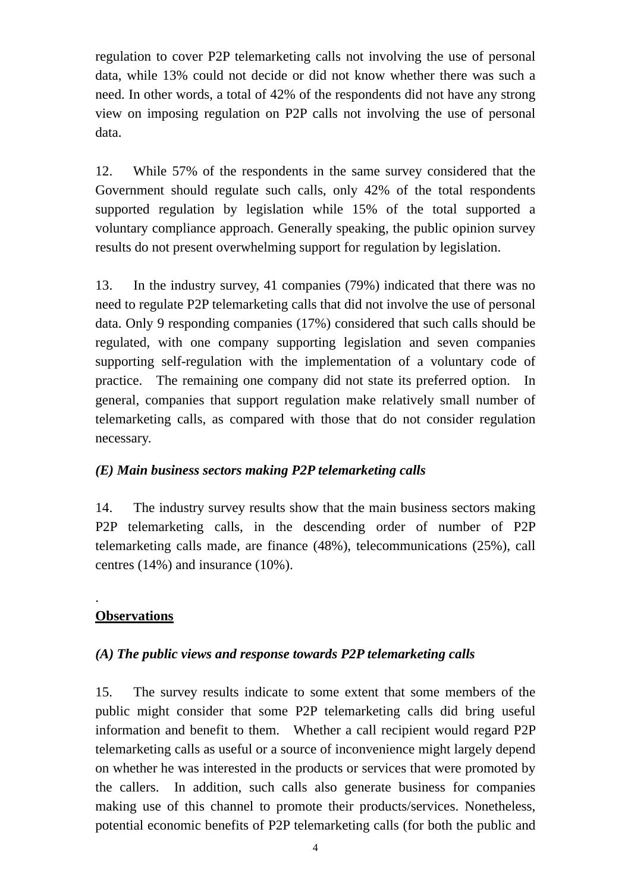regulation to cover P2P telemarketing calls not involving the use of personal data, while 13% could not decide or did not know whether there was such a need. In other words, a total of 42% of the respondents did not have any strong view on imposing regulation on P2P calls not involving the use of personal data.

12. While 57% of the respondents in the same survey considered that the Government should regulate such calls, only 42% of the total respondents supported regulation by legislation while 15% of the total supported a voluntary compliance approach. Generally speaking, the public opinion survey results do not present overwhelming support for regulation by legislation.

13. In the industry survey, 41 companies (79%) indicated that there was no need to regulate P2P telemarketing calls that did not involve the use of personal data. Only 9 responding companies (17%) considered that such calls should be regulated, with one company supporting legislation and seven companies supporting self-regulation with the implementation of a voluntary code of practice. The remaining one company did not state its preferred option. In general, companies that support regulation make relatively small number of telemarketing calls, as compared with those that do not consider regulation necessary.

#### *(E) Main business sectors making P2P telemarketing calls*

14. The industry survey results show that the main business sectors making P2P telemarketing calls, in the descending order of number of P2P telemarketing calls made, are finance (48%), telecommunications (25%), call centres (14%) and insurance (10%).

# **Observations**

.

## *(A) The public views and response towards P2P telemarketing calls*

15. The survey results indicate to some extent that some members of the public might consider that some P2P telemarketing calls did bring useful information and benefit to them. Whether a call recipient would regard P2P telemarketing calls as useful or a source of inconvenience might largely depend on whether he was interested in the products or services that were promoted by the callers. In addition, such calls also generate business for companies making use of this channel to promote their products/services. Nonetheless, potential economic benefits of P2P telemarketing calls (for both the public and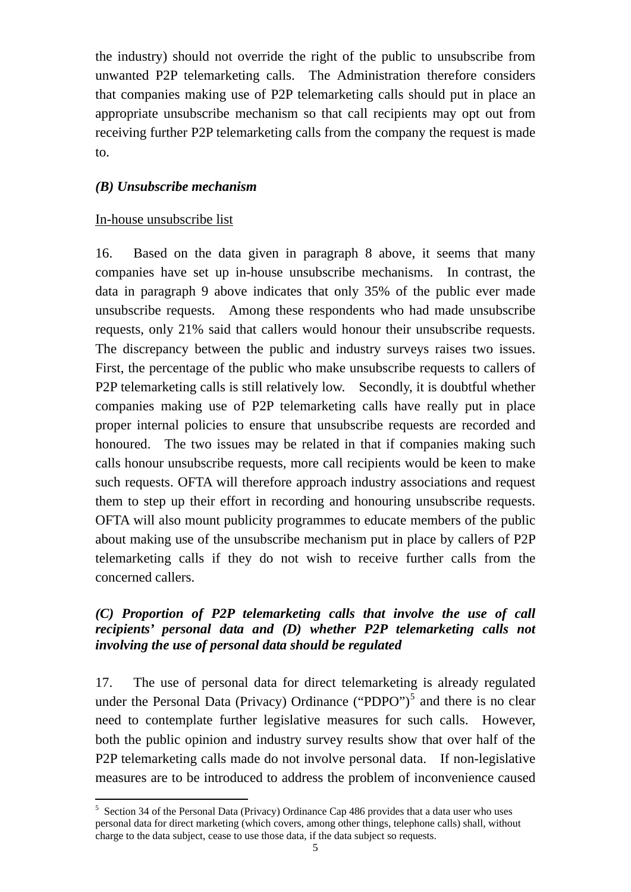the industry) should not override the right of the public to unsubscribe from unwanted P2P telemarketing calls. The Administration therefore considers that companies making use of P2P telemarketing calls should put in place an appropriate unsubscribe mechanism so that call recipients may opt out from receiving further P2P telemarketing calls from the company the request is made to.

## *(B) Unsubscribe mechanism*

### In-house unsubscribe list

<u>.</u>

16. Based on the data given in paragraph 8 above, it seems that many companies have set up in-house unsubscribe mechanisms. In contrast, the data in paragraph 9 above indicates that only 35% of the public ever made unsubscribe requests. Among these respondents who had made unsubscribe requests, only 21% said that callers would honour their unsubscribe requests. The discrepancy between the public and industry surveys raises two issues. First, the percentage of the public who make unsubscribe requests to callers of P2P telemarketing calls is still relatively low. Secondly, it is doubtful whether companies making use of P2P telemarketing calls have really put in place proper internal policies to ensure that unsubscribe requests are recorded and honoured. The two issues may be related in that if companies making such calls honour unsubscribe requests, more call recipients would be keen to make such requests. OFTA will therefore approach industry associations and request them to step up their effort in recording and honouring unsubscribe requests. OFTA will also mount publicity programmes to educate members of the public about making use of the unsubscribe mechanism put in place by callers of P2P telemarketing calls if they do not wish to receive further calls from the concerned callers.

### *(C) Proportion of P2P telemarketing calls that involve the use of call recipients' personal data and (D) whether P2P telemarketing calls not involving the use of personal data should be regulated*

17. The use of personal data for direct telemarketing is already regulated under the Personal Data (Privacy) Ordinance ("PDPO")<sup>[5](#page-4-0)</sup> and there is no clear need to contemplate further legislative measures for such calls. However, both the public opinion and industry survey results show that over half of the P2P telemarketing calls made do not involve personal data. If non-legislative measures are to be introduced to address the problem of inconvenience caused

<span id="page-4-0"></span><sup>&</sup>lt;sup>5</sup> Section 34 of the Personal Data (Privacy) Ordinance Cap 486 provides that a data user who uses personal data for direct marketing (which covers, among other things, telephone calls) shall, without charge to the data subject, cease to use those data, if the data subject so requests.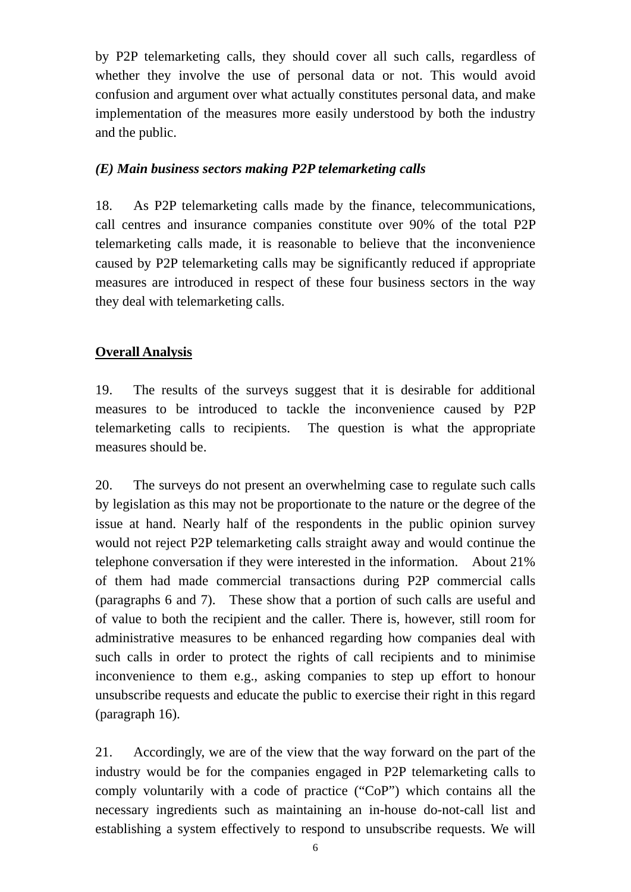by P2P telemarketing calls, they should cover all such calls, regardless of whether they involve the use of personal data or not. This would avoid confusion and argument over what actually constitutes personal data, and make implementation of the measures more easily understood by both the industry and the public.

#### *(E) Main business sectors making P2P telemarketing calls*

18. As P2P telemarketing calls made by the finance, telecommunications, call centres and insurance companies constitute over 90% of the total P2P telemarketing calls made, it is reasonable to believe that the inconvenience caused by P2P telemarketing calls may be significantly reduced if appropriate measures are introduced in respect of these four business sectors in the way they deal with telemarketing calls.

## **Overall Analysis**

19. The results of the surveys suggest that it is desirable for additional measures to be introduced to tackle the inconvenience caused by P2P telemarketing calls to recipients. The question is what the appropriate measures should be.

20. The surveys do not present an overwhelming case to regulate such calls by legislation as this may not be proportionate to the nature or the degree of the issue at hand. Nearly half of the respondents in the public opinion survey would not reject P2P telemarketing calls straight away and would continue the telephone conversation if they were interested in the information. About 21% of them had made commercial transactions during P2P commercial calls (paragraphs 6 and 7). These show that a portion of such calls are useful and of value to both the recipient and the caller. There is, however, still room for administrative measures to be enhanced regarding how companies deal with such calls in order to protect the rights of call recipients and to minimise inconvenience to them e.g., asking companies to step up effort to honour unsubscribe requests and educate the public to exercise their right in this regard (paragraph 16).

21. Accordingly, we are of the view that the way forward on the part of the industry would be for the companies engaged in P2P telemarketing calls to comply voluntarily with a code of practice ("CoP") which contains all the necessary ingredients such as maintaining an in-house do-not-call list and establishing a system effectively to respond to unsubscribe requests. We will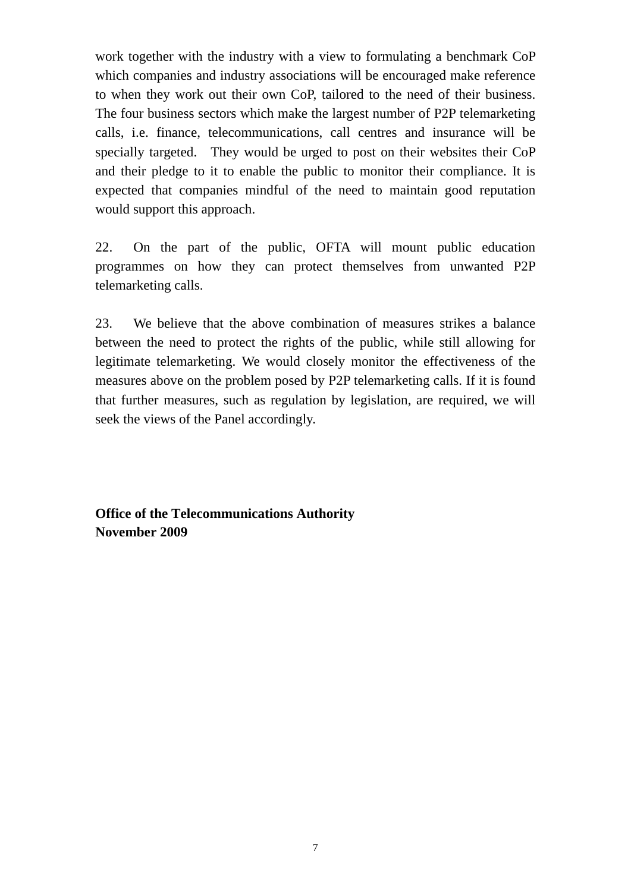work together with the industry with a view to formulating a benchmark CoP which companies and industry associations will be encouraged make reference to when they work out their own CoP, tailored to the need of their business. The four business sectors which make the largest number of P2P telemarketing calls, i.e. finance, telecommunications, call centres and insurance will be specially targeted. They would be urged to post on their websites their CoP and their pledge to it to enable the public to monitor their compliance. It is expected that companies mindful of the need to maintain good reputation would support this approach.

22. On the part of the public, OFTA will mount public education programmes on how they can protect themselves from unwanted P2P telemarketing calls.

23. We believe that the above combination of measures strikes a balance between the need to protect the rights of the public, while still allowing for legitimate telemarketing. We would closely monitor the effectiveness of the measures above on the problem posed by P2P telemarketing calls. If it is found that further measures, such as regulation by legislation, are required, we will seek the views of the Panel accordingly.

**Office of the Telecommunications Authority November 2009**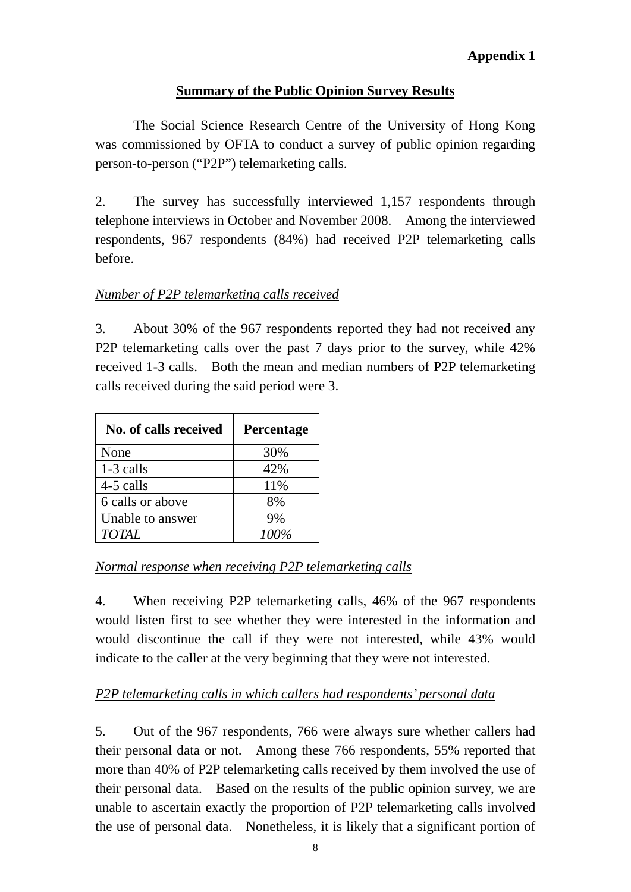## **Summary of the Public Opinion Survey Results**

 The Social Science Research Centre of the University of Hong Kong was commissioned by OFTA to conduct a survey of public opinion regarding person-to-person ("P2P") telemarketing calls.

2. The survey has successfully interviewed 1,157 respondents through telephone interviews in October and November 2008. Among the interviewed respondents, 967 respondents (84%) had received P2P telemarketing calls before.

## *Number of P2P telemarketing calls received*

3. About 30% of the 967 respondents reported they had not received any P2P telemarketing calls over the past 7 days prior to the survey, while 42% received 1-3 calls. Both the mean and median numbers of P2P telemarketing calls received during the said period were 3.

| No. of calls received | Percentage |
|-----------------------|------------|
| None                  | 30%        |
| 1-3 calls             | 42%        |
| 4-5 calls             | 11%        |
| 6 calls or above      | 8%         |
| Unable to answer      | 9%         |
| <b>TOTAL</b>          | 100%       |

## *Normal response when receiving P2P telemarketing calls*

4. When receiving P2P telemarketing calls, 46% of the 967 respondents would listen first to see whether they were interested in the information and would discontinue the call if they were not interested, while 43% would indicate to the caller at the very beginning that they were not interested.

## *P2P telemarketing calls in which callers had respondents' personal data*

5. Out of the 967 respondents, 766 were always sure whether callers had their personal data or not. Among these 766 respondents, 55% reported that more than 40% of P2P telemarketing calls received by them involved the use of their personal data. Based on the results of the public opinion survey, we are unable to ascertain exactly the proportion of P2P telemarketing calls involved the use of personal data. Nonetheless, it is likely that a significant portion of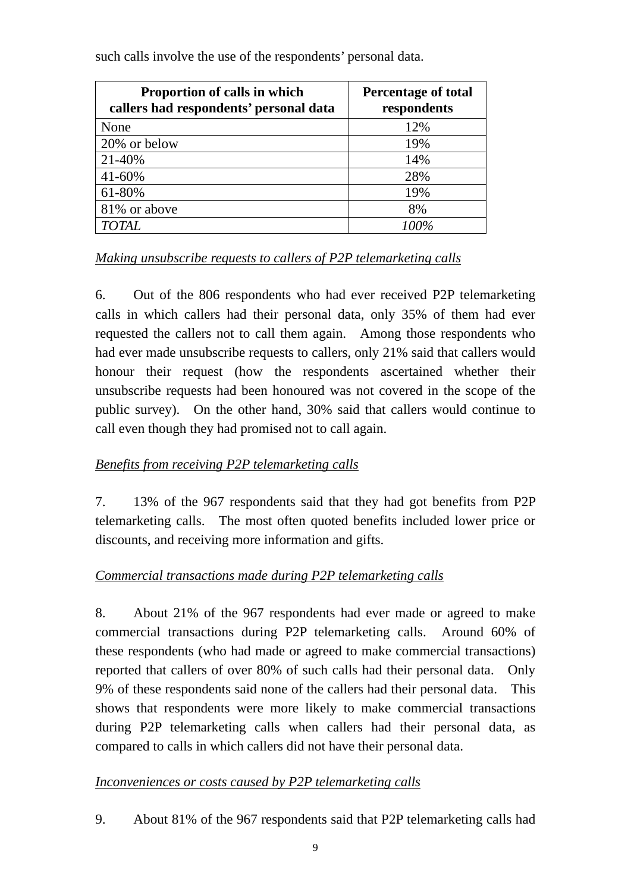| <b>Proportion of calls in which</b><br>callers had respondents' personal data | <b>Percentage of total</b><br>respondents |  |
|-------------------------------------------------------------------------------|-------------------------------------------|--|
| None                                                                          | 12%                                       |  |
| 20% or below                                                                  | 19%                                       |  |
| 21-40%                                                                        | 14%                                       |  |
| 41-60%                                                                        | 28%                                       |  |
| 61-80%                                                                        | 19%                                       |  |
| 81% or above                                                                  | 8%                                        |  |
| <b>TOTAL</b>                                                                  | 100%                                      |  |

such calls involve the use of the respondents' personal data.

### *Making unsubscribe requests to callers of P2P telemarketing calls*

6. Out of the 806 respondents who had ever received P2P telemarketing calls in which callers had their personal data, only 35% of them had ever requested the callers not to call them again. Among those respondents who had ever made unsubscribe requests to callers, only 21% said that callers would honour their request (how the respondents ascertained whether their unsubscribe requests had been honoured was not covered in the scope of the public survey). On the other hand, 30% said that callers would continue to call even though they had promised not to call again.

## *Benefits from receiving P2P telemarketing calls*

7. 13% of the 967 respondents said that they had got benefits from P2P telemarketing calls. The most often quoted benefits included lower price or discounts, and receiving more information and gifts.

## *Commercial transactions made during P2P telemarketing calls*

8. About 21% of the 967 respondents had ever made or agreed to make commercial transactions during P2P telemarketing calls. Around 60% of these respondents (who had made or agreed to make commercial transactions) reported that callers of over 80% of such calls had their personal data. Only 9% of these respondents said none of the callers had their personal data. This shows that respondents were more likely to make commercial transactions during P2P telemarketing calls when callers had their personal data, as compared to calls in which callers did not have their personal data.

## *Inconveniences or costs caused by P2P telemarketing calls*

9. About 81% of the 967 respondents said that P2P telemarketing calls had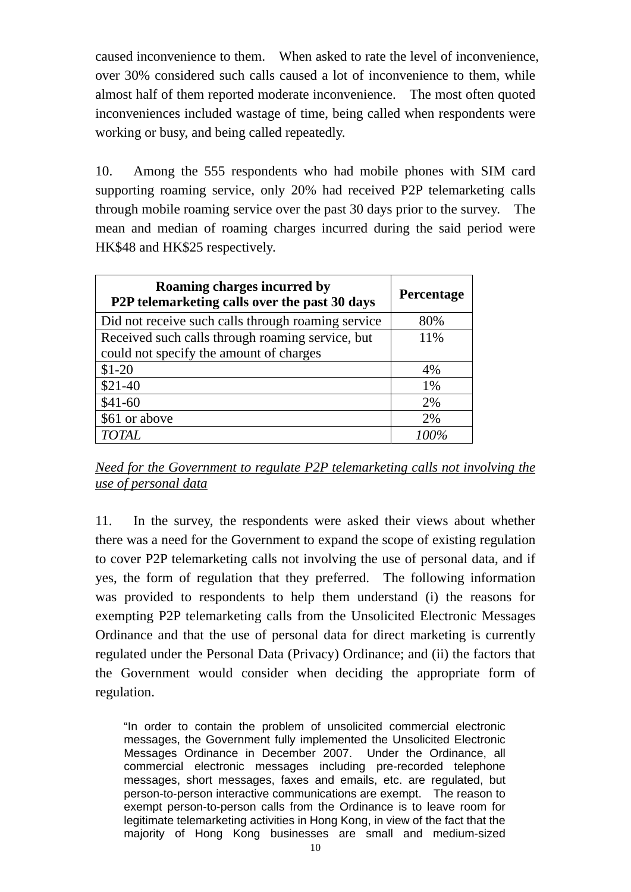caused inconvenience to them. When asked to rate the level of inconvenience, over 30% considered such calls caused a lot of inconvenience to them, while almost half of them reported moderate inconvenience. The most often quoted inconveniences included wastage of time, being called when respondents were working or busy, and being called repeatedly.

10. Among the 555 respondents who had mobile phones with SIM card supporting roaming service, only 20% had received P2P telemarketing calls through mobile roaming service over the past 30 days prior to the survey. The mean and median of roaming charges incurred during the said period were HK\$48 and HK\$25 respectively.

| Roaming charges incurred by<br>P2P telemarketing calls over the past 30 days | <b>Percentage</b> |
|------------------------------------------------------------------------------|-------------------|
| Did not receive such calls through roaming service                           | 80%               |
| Received such calls through roaming service, but                             | 11%               |
| could not specify the amount of charges                                      |                   |
| $$1-20$                                                                      | 4%                |
| $$21-40$                                                                     | 1%                |
| $$41-60$                                                                     | 2%                |
| \$61 or above                                                                | 2%                |
| <b>TOTAL</b>                                                                 |                   |

*Need for the Government to regulate P2P telemarketing calls not involving the use of personal data*

11. In the survey, the respondents were asked their views about whether there was a need for the Government to expand the scope of existing regulation to cover P2P telemarketing calls not involving the use of personal data, and if yes, the form of regulation that they preferred. The following information was provided to respondents to help them understand (i) the reasons for exempting P2P telemarketing calls from the Unsolicited Electronic Messages Ordinance and that the use of personal data for direct marketing is currently regulated under the Personal Data (Privacy) Ordinance; and (ii) the factors that the Government would consider when deciding the appropriate form of regulation.

"In order to contain the problem of unsolicited commercial electronic messages, the Government fully implemented the Unsolicited Electronic Messages Ordinance in December 2007. Under the Ordinance, all commercial electronic messages including pre-recorded telephone messages, short messages, faxes and emails, etc. are regulated, but person-to-person interactive communications are exempt. The reason to exempt person-to-person calls from the Ordinance is to leave room for legitimate telemarketing activities in Hong Kong, in view of the fact that the majority of Hong Kong businesses are small and medium-sized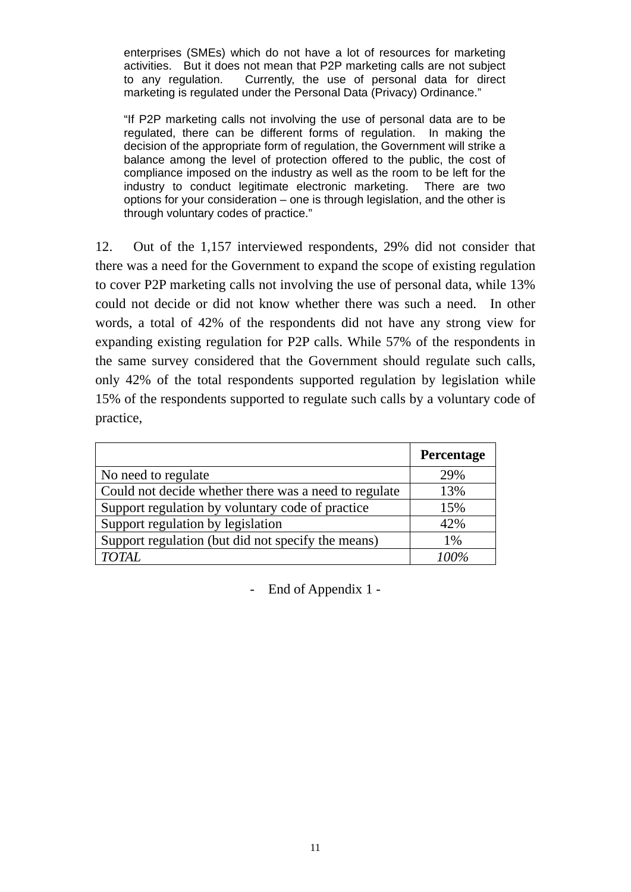enterprises (SMEs) which do not have a lot of resources for marketing activities. But it does not mean that P2P marketing calls are not subject to any regulation. Currently, the use of personal data for direct marketing is regulated under the Personal Data (Privacy) Ordinance."

"If P2P marketing calls not involving the use of personal data are to be regulated, there can be different forms of regulation. In making the decision of the appropriate form of regulation, the Government will strike a balance among the level of protection offered to the public, the cost of compliance imposed on the industry as well as the room to be left for the industry to conduct legitimate electronic marketing. There are two options for your consideration – one is through legislation, and the other is through voluntary codes of practice."

12. Out of the 1,157 interviewed respondents, 29% did not consider that there was a need for the Government to expand the scope of existing regulation to cover P2P marketing calls not involving the use of personal data, while 13% could not decide or did not know whether there was such a need. In other words, a total of 42% of the respondents did not have any strong view for expanding existing regulation for P2P calls. While 57% of the respondents in the same survey considered that the Government should regulate such calls, only 42% of the total respondents supported regulation by legislation while 15% of the respondents supported to regulate such calls by a voluntary code of practice,

|                                                       | Percentage |
|-------------------------------------------------------|------------|
| No need to regulate                                   | 29%        |
| Could not decide whether there was a need to regulate | 13%        |
| Support regulation by voluntary code of practice      | 15%        |
| Support regulation by legislation                     | 42%        |
| Support regulation (but did not specify the means)    | $1\%$      |
| <b>TOTAL</b>                                          | 100%       |

- End of Appendix 1 -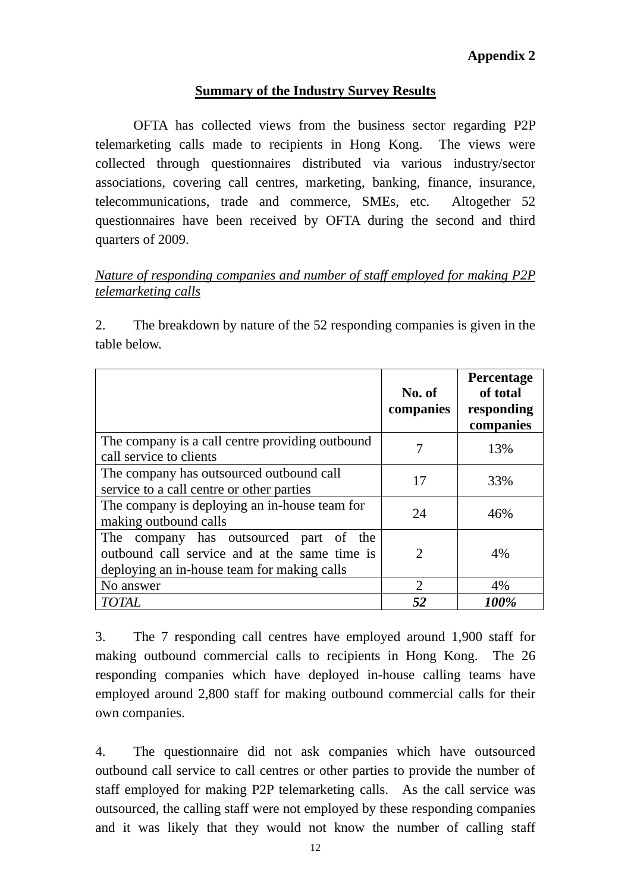#### **Summary of the Industry Survey Results**

 OFTA has collected views from the business sector regarding P2P telemarketing calls made to recipients in Hong Kong. The views were collected through questionnaires distributed via various industry/sector associations, covering call centres, marketing, banking, finance, insurance, telecommunications, trade and commerce, SMEs, etc. Altogether 52 questionnaires have been received by OFTA during the second and third quarters of 2009.

### *Nature of responding companies and number of staff employed for making P2P telemarketing calls*

2. The breakdown by nature of the 52 responding companies is given in the table below.

|                                                                                                                                        | No. of<br>companies | Percentage<br>of total<br>responding<br>companies |
|----------------------------------------------------------------------------------------------------------------------------------------|---------------------|---------------------------------------------------|
| The company is a call centre providing outbound<br>call service to clients                                                             | 7                   | 13%                                               |
| The company has outsourced outbound call<br>service to a call centre or other parties                                                  | 17                  | 33%                                               |
| The company is deploying an in-house team for<br>making outbound calls                                                                 | 24                  | 46%                                               |
| The company has outsourced part of the<br>outbound call service and at the same time is<br>deploying an in-house team for making calls | 2                   | 4%                                                |
| No answer                                                                                                                              | 2                   | 4%                                                |
| <b>TOTAL</b>                                                                                                                           | 52                  | 100%                                              |

3. The 7 responding call centres have employed around 1,900 staff for making outbound commercial calls to recipients in Hong Kong. The 26 responding companies which have deployed in-house calling teams have employed around 2,800 staff for making outbound commercial calls for their own companies.

4. The questionnaire did not ask companies which have outsourced outbound call service to call centres or other parties to provide the number of staff employed for making P2P telemarketing calls. As the call service was outsourced, the calling staff were not employed by these responding companies and it was likely that they would not know the number of calling staff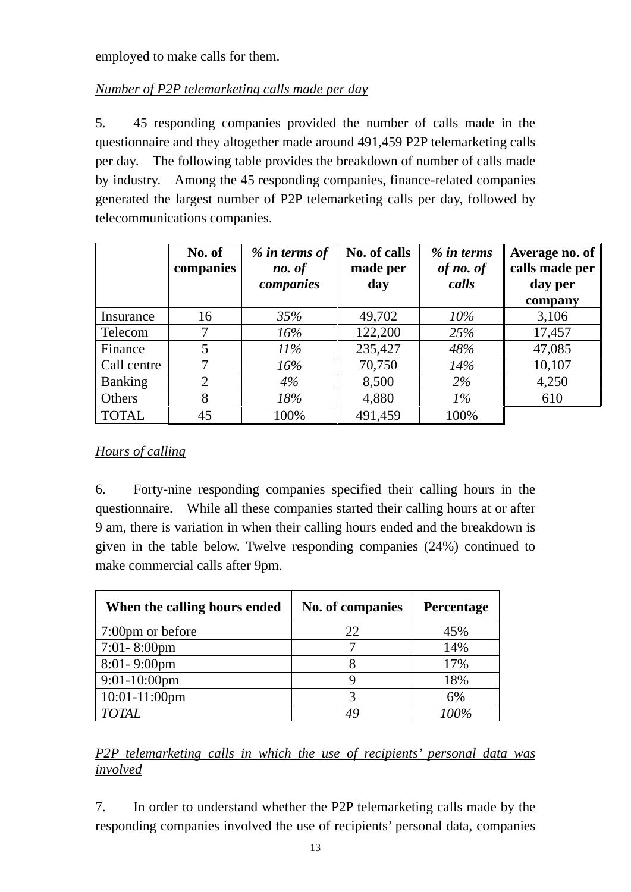employed to make calls for them.

# *Number of P2P telemarketing calls made per day*

5. 45 responding companies provided the number of calls made in the questionnaire and they altogether made around 491,459 P2P telemarketing calls per day. The following table provides the breakdown of number of calls made by industry. Among the 45 responding companies, finance-related companies generated the largest number of P2P telemarketing calls per day, followed by telecommunications companies.

|              | No. of<br>companies | % in terms of<br>no. of<br>companies | No. of calls<br>made per<br>day | $%$ in terms<br>of no. of<br>calls | Average no. of<br>calls made per<br>day per<br>company |
|--------------|---------------------|--------------------------------------|---------------------------------|------------------------------------|--------------------------------------------------------|
| Insurance    | 16                  | 35%                                  | 49,702                          | $10\%$                             | 3,106                                                  |
| Telecom      | 7                   | 16%                                  | 122,200                         | 25%                                | 17,457                                                 |
| Finance      | 5                   | $11\%$                               | 235,427                         | 48%                                | 47,085                                                 |
| Call centre  | 7                   | 16%                                  | 70,750                          | 14%                                | 10,107                                                 |
| Banking      | $\overline{2}$      | 4%                                   | 8,500                           | 2%                                 | 4,250                                                  |
| Others       | 8                   | 18%                                  | 4,880                           | $1\%$                              | 610                                                    |
| <b>TOTAL</b> | 45                  | 100%                                 | 491,459                         | 100%                               |                                                        |

## *Hours of calling*

6. Forty-nine responding companies specified their calling hours in the questionnaire. While all these companies started their calling hours at or after 9 am, there is variation in when their calling hours ended and the breakdown is given in the table below. Twelve responding companies (24%) continued to make commercial calls after 9pm.

| When the calling hours ended | No. of companies | <b>Percentage</b> |
|------------------------------|------------------|-------------------|
| 7:00pm or before             | 22               | 45%               |
| $7:01 - 8:00$ pm             |                  | 14%               |
| $8:01 - 9:00$ pm             |                  | 17%               |
| $9:01-10:00$ pm              |                  | 18%               |
| 10:01-11:00pm                |                  | 6%                |
| TOTAL                        |                  | 100%              |

# *P2P telemarketing calls in which the use of recipients' personal data was involved*

7. In order to understand whether the P2P telemarketing calls made by the responding companies involved the use of recipients' personal data, companies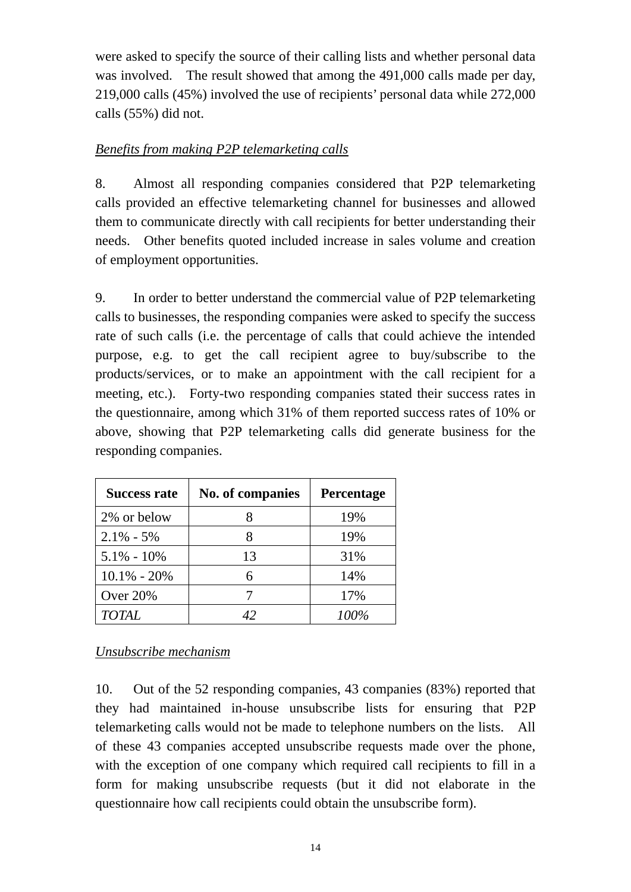were asked to specify the source of their calling lists and whether personal data was involved. The result showed that among the 491,000 calls made per day, 219,000 calls (45%) involved the use of recipients' personal data while 272,000 calls (55%) did not.

## *Benefits from making P2P telemarketing calls*

8. Almost all responding companies considered that P2P telemarketing calls provided an effective telemarketing channel for businesses and allowed them to communicate directly with call recipients for better understanding their needs. Other benefits quoted included increase in sales volume and creation of employment opportunities.

9. In order to better understand the commercial value of P2P telemarketing calls to businesses, the responding companies were asked to specify the success rate of such calls (i.e. the percentage of calls that could achieve the intended purpose, e.g. to get the call recipient agree to buy/subscribe to the products/services, or to make an appointment with the call recipient for a meeting, etc.). Forty-two responding companies stated their success rates in the questionnaire, among which 31% of them reported success rates of 10% or above, showing that P2P telemarketing calls did generate business for the responding companies.

| <b>Success rate</b> | No. of companies | <b>Percentage</b> |
|---------------------|------------------|-------------------|
| 2% or below         |                  | 19%               |
| $2.1\% - 5\%$       |                  | 19%               |
| $5.1\% - 10\%$      | 13               | 31%               |
| $10.1\% - 20\%$     | 6                | 14%               |
| Over 20%            |                  | 17%               |
| <b>TOTAL</b>        | 42               | 100%              |

*Unsubscribe mechanism*

10. Out of the 52 responding companies, 43 companies (83%) reported that they had maintained in-house unsubscribe lists for ensuring that P2P telemarketing calls would not be made to telephone numbers on the lists. All of these 43 companies accepted unsubscribe requests made over the phone, with the exception of one company which required call recipients to fill in a form for making unsubscribe requests (but it did not elaborate in the questionnaire how call recipients could obtain the unsubscribe form).